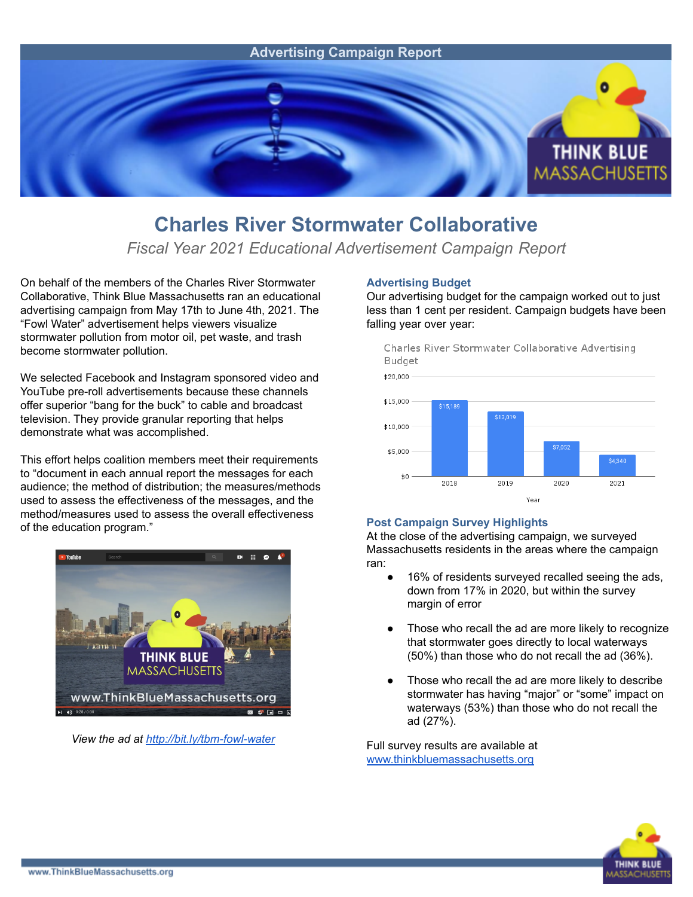

## **Charles River Stormwater Collaborative**

*Fiscal Year 2021 Educational Advertisement Campaign Report*

On behalf of the members of the Charles River Stormwater Collaborative, Think Blue Massachusetts ran an educational advertising campaign from May 17th to June 4th, 2021. The "Fowl Water" advertisement helps viewers visualize stormwater pollution from motor oil, pet waste, and trash become stormwater pollution.

We selected Facebook and Instagram sponsored video and YouTube pre-roll advertisements because these channels offer superior "bang for the buck" to cable and broadcast television. They provide granular reporting that helps demonstrate what was accomplished.

This effort helps coalition members meet their requirements to "document in each annual report the messages for each audience; the method of distribution; the measures/methods used to assess the effectiveness of the messages, and the method/measures used to assess the overall effectiveness of the education program."



*View the ad at <http://bit.ly/tbm-fowl-water>*

## **Advertising Budget**

Our advertising budget for the campaign worked out to just less than 1 cent per resident. Campaign budgets have been falling year over year:



## **Post Campaign Survey Highlights**

At the close of the advertising campaign, we surveyed Massachusetts residents in the areas where the campaign ran:

- 16% of residents surveyed recalled seeing the ads, down from 17% in 2020, but within the survey margin of error
- Those who recall the ad are more likely to recognize that stormwater goes directly to local waterways (50%) than those who do not recall the ad (36%).
- Those who recall the ad are more likely to describe stormwater has having "major" or "some" impact on waterways (53%) than those who do not recall the ad (27%).

Full survey results are available at [www.thinkbluemassachusetts.org](http://www.thinkbluemassachusetts.org)